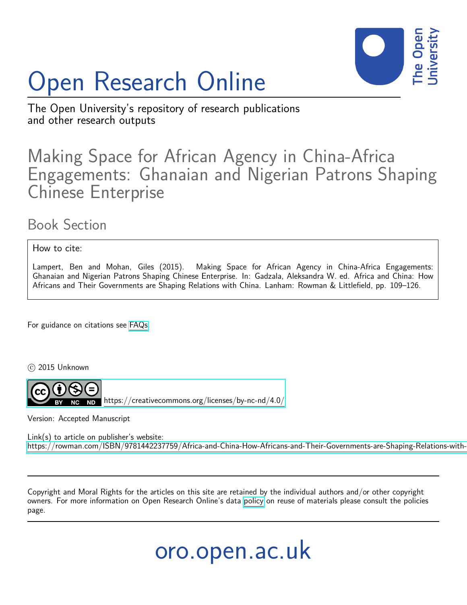

# Open Research Online

The Open University's repository of research publications and other research outputs

# Making Space for African Agency in China-Africa Engagements: Ghanaian and Nigerian Patrons Shaping Chinese Enterprise

# Book Section

How to cite:

Lampert, Ben and Mohan, Giles (2015). Making Space for African Agency in China-Africa Engagements: Ghanaian and Nigerian Patrons Shaping Chinese Enterprise. In: Gadzala, Aleksandra W. ed. Africa and China: How Africans and Their Governments are Shaping Relations with China. Lanham: Rowman & Littlefield, pp. 109–126.

For guidance on citations see [FAQs.](http://oro.open.ac.uk/help/helpfaq.html)

 $\circ$  2015 Unknown



<https://creativecommons.org/licenses/by-nc-nd/4.0/>

Version: Accepted Manuscript

Link(s) to article on publisher's website: https://rowman.com/ISBN/9781442237759/Africa-and-China-How-Africans-and-Their-Governments-are-Shaping-Relations-with-

Copyright and Moral Rights for the articles on this site are retained by the individual authors and/or other copyright owners. For more information on Open Research Online's data [policy](http://oro.open.ac.uk/policies.html) on reuse of materials please consult the policies page.

oro.open.ac.uk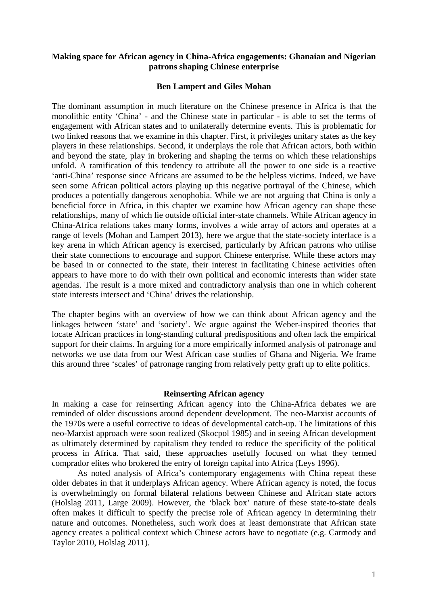### **Making space for African agency in China-Africa engagements: Ghanaian and Nigerian patrons shaping Chinese enterprise**

#### **Ben Lampert and Giles Mohan**

The dominant assumption in much literature on the Chinese presence in Africa is that the monolithic entity 'China' - and the Chinese state in particular - is able to set the terms of engagement with African states and to unilaterally determine events. This is problematic for two linked reasons that we examine in this chapter. First, it privileges unitary states as the key players in these relationships. Second, it underplays the role that African actors, both within and beyond the state, play in brokering and shaping the terms on which these relationships unfold. A ramification of this tendency to attribute all the power to one side is a reactive 'anti-China' response since Africans are assumed to be the helpless victims. Indeed, we have seen some African political actors playing up this negative portrayal of the Chinese, which produces a potentially dangerous xenophobia. While we are not arguing that China is only a beneficial force in Africa, in this chapter we examine how African agency can shape these relationships, many of which lie outside official inter-state channels. While African agency in China-Africa relations takes many forms, involves a wide array of actors and operates at a range of levels (Mohan and Lampert 2013), here we argue that the state-society interface is a key arena in which African agency is exercised, particularly by African patrons who utilise their state connections to encourage and support Chinese enterprise. While these actors may be based in or connected to the state, their interest in facilitating Chinese activities often appears to have more to do with their own political and economic interests than wider state agendas. The result is a more mixed and contradictory analysis than one in which coherent state interests intersect and 'China' drives the relationship.

The chapter begins with an overview of how we can think about African agency and the linkages between 'state' and 'society'. We argue against the Weber-inspired theories that locate African practices in long-standing cultural predispositions and often lack the empirical support for their claims. In arguing for a more empirically informed analysis of patronage and networks we use data from our West African case studies of Ghana and Nigeria. We frame this around three 'scales' of patronage ranging from relatively petty graft up to elite politics.

#### **Reinserting African agency**

In making a case for reinserting African agency into the China-Africa debates we are reminded of older discussions around dependent development. The neo-Marxist accounts of the 1970s were a useful corrective to ideas of developmental catch-up. The limitations of this neo-Marxist approach were soon realized (Skocpol 1985) and in seeing African development as ultimately determined by capitalism they tended to reduce the specificity of the political process in Africa. That said, these approaches usefully focused on what they termed comprador elites who brokered the entry of foreign capital into Africa (Leys 1996).

As noted analysis of Africa's contemporary engagements with China repeat these older debates in that it underplays African agency. Where African agency is noted, the focus is overwhelmingly on formal bilateral relations between Chinese and African state actors (Holslag 2011, Large 2009). However, the 'black box' nature of these state-to-state deals often makes it difficult to specify the precise role of African agency in determining their nature and outcomes. Nonetheless, such work does at least demonstrate that African state agency creates a political context which Chinese actors have to negotiate (e.g. Carmody and Taylor 2010, Holslag 2011).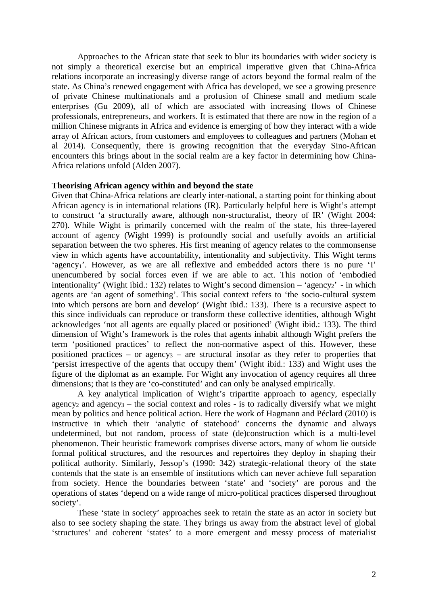Approaches to the African state that seek to blur its boundaries with wider society is not simply a theoretical exercise but an empirical imperative given that China-Africa relations incorporate an increasingly diverse range of actors beyond the formal realm of the state. As China's renewed engagement with Africa has developed, we see a growing presence of private Chinese multinationals and a profusion of Chinese small and medium scale enterprises (Gu 2009), all of which are associated with increasing flows of Chinese professionals, entrepreneurs, and workers. It is estimated that there are now in the region of a million Chinese migrants in Africa and evidence is emerging of how they interact with a wide array of African actors, from customers and employees to colleagues and partners (Mohan et al 2014). Consequently, there is growing recognition that the everyday Sino-African encounters this brings about in the social realm are a key factor in determining how China-Africa relations unfold (Alden 2007).

# **Theorising African agency within and beyond the state**

Given that China-Africa relations are clearly inter-national, a starting point for thinking about African agency is in international relations (IR). Particularly helpful here is Wight's attempt to construct 'a structurally aware, although non-structuralist, theory of IR' (Wight 2004: 270). While Wight is primarily concerned with the realm of the state, his three-layered account of agency (Wight 1999) is profoundly social and usefully avoids an artificial separation between the two spheres. His first meaning of agency relates to the commonsense view in which agents have accountability, intentionality and subjectivity. This Wight terms 'agency<sub>1</sub>'. However, as we are all reflexive and embedded actors there is no pure 'I' unencumbered by social forces even if we are able to act. This notion of 'embodied intentionality' (Wight ibid.: 132) relates to Wight's second dimension – 'agency<sub>2</sub>' - in which agents are 'an agent of something'. This social context refers to 'the socio-cultural system into which persons are born and develop' (Wight ibid.: 133). There is a recursive aspect to this since individuals can reproduce or transform these collective identities, although Wight acknowledges 'not all agents are equally placed or positioned' (Wight ibid.: 133). The third dimension of Wight's framework is the roles that agents inhabit although Wight prefers the term 'positioned practices' to reflect the non-normative aspect of this. However, these positioned practices – or agency<sub>3</sub> – are structural insofar as they refer to properties that 'persist irrespective of the agents that occupy them' (Wight ibid.: 133) and Wight uses the figure of the diplomat as an example. For Wight any invocation of agency requires all three dimensions; that is they are 'co-constituted' and can only be analysed empirically.

A key analytical implication of Wight's tripartite approach to agency, especially agency<sub>2</sub> and agency<sub>3</sub> – the social context and roles - is to radically diversify what we might mean by politics and hence political action. Here the work of Hagmann and Péclard (2010) is instructive in which their 'analytic of statehood' concerns the dynamic and always undetermined, but not random, process of state (de)construction which is a multi-level phenomenon. Their heuristic framework comprises diverse actors, many of whom lie outside formal political structures, and the resources and repertoires they deploy in shaping their political authority. Similarly, Jessop's (1990: 342) strategic-relational theory of the state contends that the state is an ensemble of institutions which can never achieve full separation from society. Hence the boundaries between 'state' and 'society' are porous and the operations of states 'depend on a wide range of micro-political practices dispersed throughout society'.

These 'state in society' approaches seek to retain the state as an actor in society but also to see society shaping the state. They brings us away from the abstract level of global 'structures' and coherent 'states' to a more emergent and messy process of materialist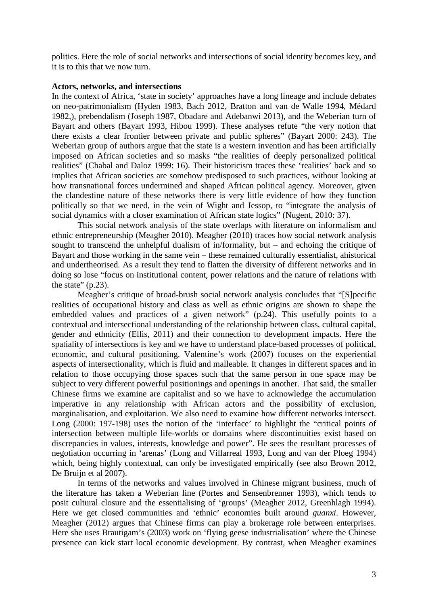politics. Here the role of social networks and intersections of social identity becomes key, and it is to this that we now turn.

#### **Actors, networks, and intersections**

In the context of Africa, 'state in society' approaches have a long lineage and include debates on neo-patrimonialism (Hyden 1983, Bach 2012, Bratton and van de Walle 1994, Médard 1982,), prebendalism (Joseph 1987, Obadare and Adebanwi 2013), and the Weberian turn of Bayart and others (Bayart 1993, Hibou 1999). These analyses refute "the very notion that there exists a clear frontier between private and public spheres" (Bayart 2000: 243). The Weberian group of authors argue that the state is a western invention and has been artificially imposed on African societies and so masks "the realities of deeply personalized political realities" (Chabal and Daloz 1999: 16). Their historicism traces these 'realities' back and so implies that African societies are somehow predisposed to such practices, without looking at how transnational forces undermined and shaped African political agency. Moreover, given the clandestine nature of these networks there is very little evidence of how they function politically so that we need, in the vein of Wight and Jessop, to "integrate the analysis of social dynamics with a closer examination of African state logics" (Nugent, 2010: 37).

This social network analysis of the state overlaps with literature on informalism and ethnic entrepreneurship (Meagher 2010). Meagher (2010) traces how social network analysis sought to transcend the unhelpful dualism of in/formality, but – and echoing the critique of Bayart and those working in the same vein – these remained culturally essentialist, ahistorical and undertheorised. As a result they tend to flatten the diversity of different networks and in doing so lose "focus on institutional content, power relations and the nature of relations with the state"  $(p.23)$ .

Meagher's critique of broad-brush social network analysis concludes that "[S]pecific realities of occupational history and class as well as ethnic origins are shown to shape the embedded values and practices of a given network" (p.24). This usefully points to a contextual and intersectional understanding of the relationship between class, cultural capital, gender and ethnicity (Ellis, 2011) and their connection to development impacts. Here the spatiality of intersections is key and we have to understand place-based processes of political, economic, and cultural positioning. Valentine's work (2007) focuses on the experiential aspects of intersectionality, which is fluid and malleable. It changes in different spaces and in relation to those occupying those spaces such that the same person in one space may be subject to very different powerful positionings and openings in another. That said, the smaller Chinese firms we examine are capitalist and so we have to acknowledge the accumulation imperative in any relationship with African actors and the possibility of exclusion, marginalisation, and exploitation. We also need to examine how different networks intersect. Long (2000: 197-198) uses the notion of the 'interface' to highlight the "critical points of intersection between multiple life-worlds or domains where discontinuities exist based on discrepancies in values, interests, knowledge and power". He sees the resultant processes of negotiation occurring in 'arenas' (Long and Villarreal 1993, Long and van der Ploeg 1994) which, being highly contextual, can only be investigated empirically (see also Brown 2012, De Bruijn et al 2007).

In terms of the networks and values involved in Chinese migrant business, much of the literature has taken a Weberian line (Portes and Sensenbrenner 1993), which tends to posit cultural closure and the essentialising of 'groups' (Meagher 2012, Greenhlagh 1994). Here we get closed communities and 'ethnic' economies built around *guanxi*. However, Meagher (2012) argues that Chinese firms can play a brokerage role between enterprises. Here she uses Brautigam's (2003) work on 'flying geese industrialisation' where the Chinese presence can kick start local economic development. By contrast, when Meagher examines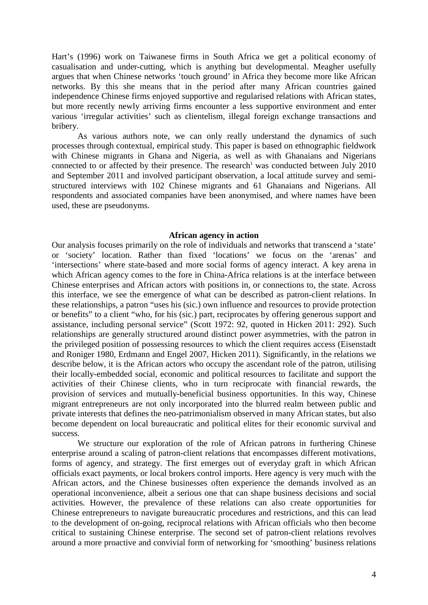Hart's (1996) work on Taiwanese firms in South Africa we get a political economy of casualisation and under-cutting, which is anything but developmental. Meagher usefully argues that when Chinese networks 'touch ground' in Africa they become more like African networks. By this she means that in the period after many African countries gained independence Chinese firms enjoyed supportive and regularised relations with African states, but more recently newly arriving firms encounter a less supportive environment and enter various 'irregular activities' such as clientelism, illegal foreign exchange transactions and bribery.

As various authors note, we can only really understand the dynamics of such processes through contextual, empirical study. This paper is based on ethnographic fieldwork with Chinese migrants in Ghana and Nigeria, as well as with Ghanaians and Nigerians connected to or affected by their presence. The research[i](#page-14-0) was conducted between July 2010 and September 2011 and involved participant observation, a local attitude survey and semistructured interviews with 102 Chinese migrants and 61 Ghanaians and Nigerians. All respondents and associated companies have been anonymised, and where names have been used, these are pseudonyms.

#### **African agency in action**

Our analysis focuses primarily on the role of individuals and networks that transcend a 'state' or 'society' location. Rather than fixed 'locations' we focus on the 'arenas' and 'intersections' where state-based and more social forms of agency interact. A key arena in which African agency comes to the fore in China-Africa relations is at the interface between Chinese enterprises and African actors with positions in, or connections to, the state. Across this interface, we see the emergence of what can be described as patron-client relations. In these relationships, a patron "uses his (sic.) own influence and resources to provide protection or benefits" to a client "who, for his (sic.) part, reciprocates by offering generous support and assistance, including personal service" (Scott 1972: 92, quoted in Hicken 2011: 292). Such relationships are generally structured around distinct power asymmetries, with the patron in the privileged position of possessing resources to which the client requires access (Eisenstadt and Roniger 1980, Erdmann and Engel 2007, Hicken 2011). Significantly, in the relations we describe below, it is the African actors who occupy the ascendant role of the patron, utilising their locally-embedded social, economic and political resources to facilitate and support the activities of their Chinese clients, who in turn reciprocate with financial rewards, the provision of services and mutually-beneficial business opportunities. In this way, Chinese migrant entrepreneurs are not only incorporated into the blurred realm between public and private interests that defines the neo-patrimonialism observed in many African states, but also become dependent on local bureaucratic and political elites for their economic survival and success.

We structure our exploration of the role of African patrons in furthering Chinese enterprise around a scaling of patron-client relations that encompasses different motivations, forms of agency, and strategy. The first emerges out of everyday graft in which African officials exact payments, or local brokers control imports. Here agency is very much with the African actors, and the Chinese businesses often experience the demands involved as an operational inconvenience, albeit a serious one that can shape business decisions and social activities. However, the prevalence of these relations can also create opportunities for Chinese entrepreneurs to navigate bureaucratic procedures and restrictions, and this can lead to the development of on-going, reciprocal relations with African officials who then become critical to sustaining Chinese enterprise. The second set of patron-client relations revolves around a more proactive and convivial form of networking for 'smoothing' business relations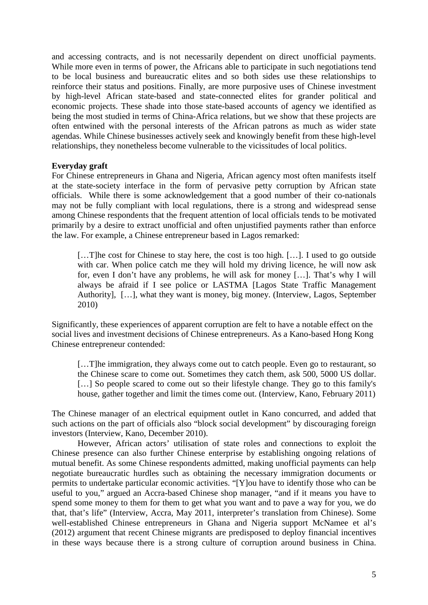and accessing contracts, and is not necessarily dependent on direct unofficial payments. While more even in terms of power, the Africans able to participate in such negotiations tend to be local business and bureaucratic elites and so both sides use these relationships to reinforce their status and positions. Finally, are more purposive uses of Chinese investment by high-level African state-based and state-connected elites for grander political and economic projects. These shade into those state-based accounts of agency we identified as being the most studied in terms of China-Africa relations, but we show that these projects are often entwined with the personal interests of the African patrons as much as wider state agendas. While Chinese businesses actively seek and knowingly benefit from these high-level relationships, they nonetheless become vulnerable to the vicissitudes of local politics.

# **Everyday graft**

For Chinese entrepreneurs in Ghana and Nigeria, African agency most often manifests itself at the state-society interface in the form of pervasive petty corruption by African state officials. While there is some acknowledgement that a good number of their co-nationals may not be fully compliant with local regulations, there is a strong and widespread sense among Chinese respondents that the frequent attention of local officials tends to be motivated primarily by a desire to extract unofficial and often unjustified payments rather than enforce the law. For example, a Chinese entrepreneur based in Lagos remarked:

[…T]he cost for Chinese to stay here, the cost is too high. […]. I used to go outside with car. When police catch me they will hold my driving licence, he will now ask for, even I don't have any problems, he will ask for money […]. That's why I will always be afraid if I see police or LASTMA [Lagos State Traffic Management Authority], […], what they want is money, big money. (Interview, Lagos, September 2010)

Significantly, these experiences of apparent corruption are felt to have a notable effect on the social lives and investment decisions of Chinese entrepreneurs. As a Kano-based Hong Kong Chinese entrepreneur contended:

[…T]he immigration, they always come out to catch people. Even go to restaurant, so the Chinese scare to come out. Sometimes they catch them, ask 500, 5000 US dollar. [...] So people scared to come out so their lifestyle change. They go to this family's house, gather together and limit the times come out. (Interview, Kano, February 2011)

The Chinese manager of an electrical equipment outlet in Kano concurred, and added that such actions on the part of officials also "block social development" by discouraging foreign investors (Interview, Kano, December 2010).

However, African actors' utilisation of state roles and connections to exploit the Chinese presence can also further Chinese enterprise by establishing ongoing relations of mutual benefit. As some Chinese respondents admitted, making unofficial payments can help negotiate bureaucratic hurdles such as obtaining the necessary immigration documents or permits to undertake particular economic activities. "[Y]ou have to identify those who can be useful to you," argued an Accra-based Chinese shop manager, "and if it means you have to spend some money to them for them to get what you want and to pave a way for you, we do that, that's life" (Interview, Accra, May 2011, interpreter's translation from Chinese). Some well-established Chinese entrepreneurs in Ghana and Nigeria support McNamee et al's (2012) argument that recent Chinese migrants are predisposed to deploy financial incentives in these ways because there is a strong culture of corruption around business in China.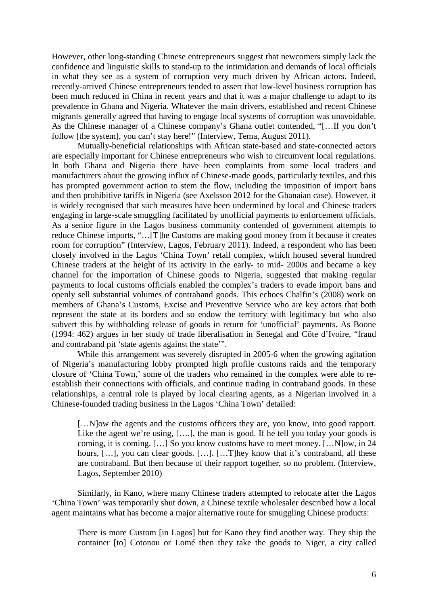However, other long-standing Chinese entrepreneurs suggest that newcomers simply lack the confidence and linguistic skills to stand-up to the intimidation and demands of local officials in what they see as a system of corruption very much driven by African actors. Indeed, recently-arrived Chinese entrepreneurs tended to assert that low-level business corruption has been much reduced in China in recent years and that it was a major challenge to adapt to its prevalence in Ghana and Nigeria. Whatever the main drivers, established and recent Chinese migrants generally agreed that having to engage local systems of corruption was unavoidable. As the Chinese manager of a Chinese company's Ghana outlet contended, "[…If you don't follow [the system], you can't stay here!" (Interview, Tema, August 2011).

Mutually-beneficial relationships with African state-based and state-connected actors are especially important for Chinese entrepreneurs who wish to circumvent local regulations. In both Ghana and Nigeria there have been complaints from some local traders and manufacturers about the growing influx of Chinese-made goods, particularly textiles, and this has prompted government action to stem the flow, including the imposition of import bans and then prohibitive tariffs in Nigeria (see Axelsson 2012 for the Ghanaian case). However, it is widely recognised that such measures have been undermined by local and Chinese traders engaging in large-scale smuggling facilitated by unofficial payments to enforcement officials. As a senior figure in the Lagos business community contended of government attempts to reduce Chinese imports, "…[T]he Customs are making good money from it because it creates room for corruption" (Interview, Lagos, February 2011). Indeed, a respondent who has been closely involved in the Lagos 'China Town' retail complex, which housed several hundred Chinese traders at the height of its activity in the early- to mid- 2000s and became a key channel for the importation of Chinese goods to Nigeria, suggested that making regular payments to local customs officials enabled the complex's traders to evade import bans and openly sell substantial volumes of contraband goods. This echoes Chalfin's (2008) work on members of Ghana's Customs, Excise and Preventive Service who are key actors that both represent the state at its borders and so endow the territory with legitimacy but who also subvert this by withholding release of goods in return for 'unofficial' payments. As Boone (1994: 462) argues in her study of trade liberalisation in Senegal and Côte d'Ivoire, "fraud and contraband pit 'state agents against the state'".

While this arrangement was severely disrupted in 2005-6 when the growing agitation of Nigeria's manufacturing lobby prompted high profile customs raids and the temporary closure of 'China Town,' some of the traders who remained in the complex were able to reestablish their connections with officials, and continue trading in contraband goods. In these relationships, a central role is played by local clearing agents, as a Nigerian involved in a Chinese-founded trading business in the Lagos 'China Town' detailed:

[...N]ow the agents and the customs officers they are, you know, into good rapport. Like the agent we're using, [....], the man is good. If he tell you today your goods is coming, it is coming. […] So you know customs have to meet money. […N]ow, in 24 hours, [...], you can clear goods. [...]. [...T]hey know that it's contraband, all these are contraband. But then because of their rapport together, so no problem. (Interview, Lagos, September 2010)

Similarly, in Kano, where many Chinese traders attempted to relocate after the Lagos 'China Town' was temporarily shut down, a Chinese textile wholesaler described how a local agent maintains what has become a major alternative route for smuggling Chinese products:

There is more Custom [in Lagos] but for Kano they find another way. They ship the container [to] Cotonou or Lomé then they take the goods to Niger, a city called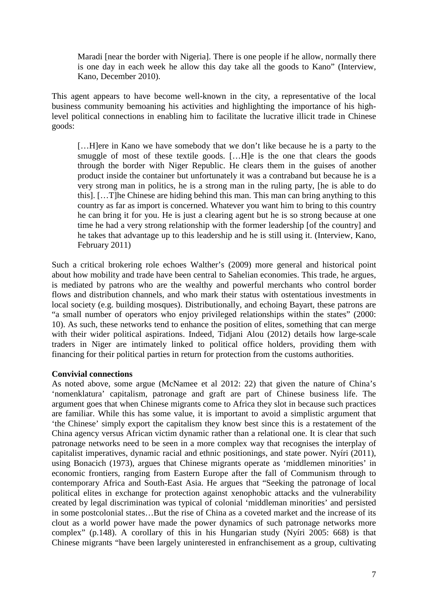Maradi [near the border with Nigeria]. There is one people if he allow, normally there is one day in each week he allow this day take all the goods to Kano" (Interview, Kano, December 2010).

This agent appears to have become well-known in the city, a representative of the local business community bemoaning his activities and highlighting the importance of his highlevel political connections in enabling him to facilitate the lucrative illicit trade in Chinese goods:

[…H]ere in Kano we have somebody that we don't like because he is a party to the smuggle of most of these textile goods. […H]e is the one that clears the goods through the border with Niger Republic. He clears them in the guises of another product inside the container but unfortunately it was a contraband but because he is a very strong man in politics, he is a strong man in the ruling party, [he is able to do this]. […T]he Chinese are hiding behind this man. This man can bring anything to this country as far as import is concerned. Whatever you want him to bring to this country he can bring it for you. He is just a clearing agent but he is so strong because at one time he had a very strong relationship with the former leadership [of the country] and he takes that advantage up to this leadership and he is still using it. (Interview, Kano, February 2011)

Such a critical brokering role echoes Walther's (2009) more general and historical point about how mobility and trade have been central to Sahelian economies. This trade, he argues, is mediated by patrons who are the wealthy and powerful merchants who control border flows and distribution channels, and who mark their status with ostentatious investments in local society (e.g. building mosques). Distributionally, and echoing Bayart, these patrons are "a small number of operators who enjoy privileged relationships within the states" (2000: 10). As such, these networks tend to enhance the position of elites, something that can merge with their wider political aspirations. Indeed, Tidjani Alou (2012) details how large-scale traders in Niger are intimately linked to political office holders, providing them with financing for their political parties in return for protection from the customs authorities.

# **Convivial connections**

As noted above, some argue (McNamee et al 2012: 22) that given the nature of China's 'nomenklatura' capitalism, patronage and graft are part of Chinese business life. The argument goes that when Chinese migrants come to Africa they slot in because such practices are familiar. While this has some value, it is important to avoid a simplistic argument that 'the Chinese' simply export the capitalism they know best since this is a restatement of the China agency versus African victim dynamic rather than a relational one. It is clear that such patronage networks need to be seen in a more complex way that recognises the interplay of capitalist imperatives, dynamic racial and ethnic positionings, and state power. Nyíri (2011), using Bonacich (1973), argues that Chinese migrants operate as 'middlemen minorities' in economic frontiers, ranging from Eastern Europe after the fall of Communism through to contemporary Africa and South-East Asia. He argues that "Seeking the patronage of local political elites in exchange for protection against xenophobic attacks and the vulnerability created by legal discrimination was typical of colonial 'middleman minorities' and persisted in some postcolonial states…But the rise of China as a coveted market and the increase of its clout as a world power have made the power dynamics of such patronage networks more complex" (p.148). A corollary of this in his Hungarian study (Nyíri 2005: 668) is that Chinese migrants "have been largely uninterested in enfranchisement as a group, cultivating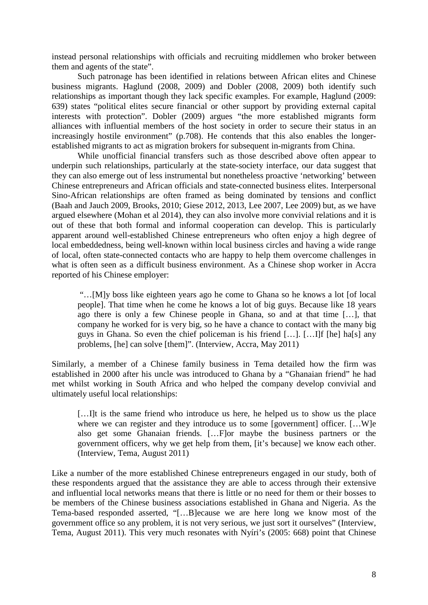instead personal relationships with officials and recruiting middlemen who broker between them and agents of the state".

Such patronage has been identified in relations between African elites and Chinese business migrants. Haglund (2008, 2009) and Dobler (2008, 2009) both identify such relationships as important though they lack specific examples. For example, Haglund (2009: 639) states "political elites secure financial or other support by providing external capital interests with protection". Dobler (2009) argues "the more established migrants form alliances with influential members of the host society in order to secure their status in an increasingly hostile environment" (p.708). He contends that this also enables the longerestablished migrants to act as migration brokers for subsequent in-migrants from China.

While unofficial financial transfers such as those described above often appear to underpin such relationships, particularly at the state-society interface, our data suggest that they can also emerge out of less instrumental but nonetheless proactive 'networking' between Chinese entrepreneurs and African officials and state-connected business elites. Interpersonal Sino-African relationships are often framed as being dominated by tensions and conflict (Baah and Jauch 2009, Brooks, 2010; Giese 2012, 2013, Lee 2007, Lee 2009) but, as we have argued elsewhere (Mohan et al 2014), they can also involve more convivial relations and it is out of these that both formal and informal cooperation can develop. This is particularly apparent around well-established Chinese entrepreneurs who often enjoy a high degree of local embeddedness, being well-known within local business circles and having a wide range of local, often state-connected contacts who are happy to help them overcome challenges in what is often seen as a difficult business environment. As a Chinese shop worker in Accra reported of his Chinese employer:

"…[M]y boss like eighteen years ago he come to Ghana so he knows a lot [of local people]. That time when he come he knows a lot of big guys. Because like 18 years ago there is only a few Chinese people in Ghana, so and at that time […], that company he worked for is very big, so he have a chance to contact with the many big guys in Ghana. So even the chief policeman is his friend […]. […I]f [he] ha[s] any problems, [he] can solve [them]". (Interview, Accra, May 2011)

Similarly, a member of a Chinese family business in Tema detailed how the firm was established in 2000 after his uncle was introduced to Ghana by a "Ghanaian friend" he had met whilst working in South Africa and who helped the company develop convivial and ultimately useful local relationships:

[...] It is the same friend who introduce us here, he helped us to show us the place where we can register and they introduce us to some [government] officer. [...W]e also get some Ghanaian friends. […F]or maybe the business partners or the government officers, why we get help from them, [it's because] we know each other. (Interview, Tema, August 2011)

Like a number of the more established Chinese entrepreneurs engaged in our study, both of these respondents argued that the assistance they are able to access through their extensive and influential local networks means that there is little or no need for them or their bosses to be members of the Chinese business associations established in Ghana and Nigeria. As the Tema-based responded asserted, "[…B]ecause we are here long we know most of the government office so any problem, it is not very serious, we just sort it ourselves" (Interview, Tema, August 2011). This very much resonates with Nyíri's (2005: 668) point that Chinese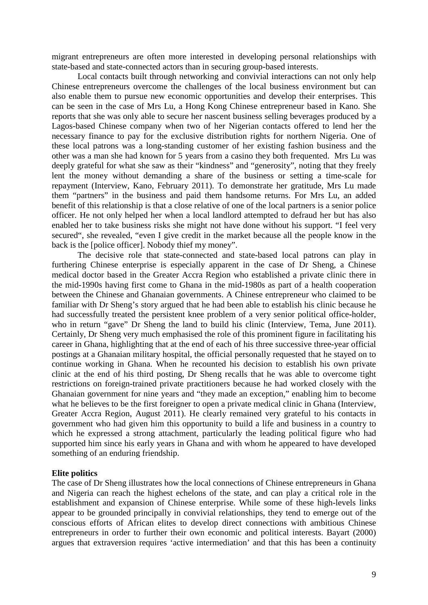migrant entrepreneurs are often more interested in developing personal relationships with state-based and state-connected actors than in securing group-based interests.

Local contacts built through networking and convivial interactions can not only help Chinese entrepreneurs overcome the challenges of the local business environment but can also enable them to pursue new economic opportunities and develop their enterprises. This can be seen in the case of Mrs Lu, a Hong Kong Chinese entrepreneur based in Kano. She reports that she was only able to secure her nascent business selling beverages produced by a Lagos-based Chinese company when two of her Nigerian contacts offered to lend her the necessary finance to pay for the exclusive distribution rights for northern Nigeria. One of these local patrons was a long-standing customer of her existing fashion business and the other was a man she had known for 5 years from a casino they both frequented. Mrs Lu was deeply grateful for what she saw as their "kindness" and "generosity", noting that they freely lent the money without demanding a share of the business or setting a time-scale for repayment (Interview, Kano, February 2011). To demonstrate her gratitude, Mrs Lu made them "partners" in the business and paid them handsome returns. For Mrs Lu, an added benefit of this relationship is that a close relative of one of the local partners is a senior police officer. He not only helped her when a local landlord attempted to defraud her but has also enabled her to take business risks she might not have done without his support. "I feel very secured", she revealed, "even I give credit in the market because all the people know in the back is the [police officer]. Nobody thief my money".

The decisive role that state-connected and state-based local patrons can play in furthering Chinese enterprise is especially apparent in the case of Dr Sheng, a Chinese medical doctor based in the Greater Accra Region who established a private clinic there in the mid-1990s having first come to Ghana in the mid-1980s as part of a health cooperation between the Chinese and Ghanaian governments. A Chinese entrepreneur who claimed to be familiar with Dr Sheng's story argued that he had been able to establish his clinic because he had successfully treated the persistent knee problem of a very senior political office-holder, who in return "gave" Dr Sheng the land to build his clinic (Interview, Tema, June 2011). Certainly, Dr Sheng very much emphasised the role of this prominent figure in facilitating his career in Ghana, highlighting that at the end of each of his three successive three-year official postings at a Ghanaian military hospital, the official personally requested that he stayed on to continue working in Ghana. When he recounted his decision to establish his own private clinic at the end of his third posting, Dr Sheng recalls that he was able to overcome tight restrictions on foreign-trained private practitioners because he had worked closely with the Ghanaian government for nine years and "they made an exception," enabling him to become what he believes to be the first foreigner to open a private medical clinic in Ghana (Interview, Greater Accra Region, August 2011). He clearly remained very grateful to his contacts in government who had given him this opportunity to build a life and business in a country to which he expressed a strong attachment, particularly the leading political figure who had supported him since his early years in Ghana and with whom he appeared to have developed something of an enduring friendship.

#### **Elite politics**

The case of Dr Sheng illustrates how the local connections of Chinese entrepreneurs in Ghana and Nigeria can reach the highest echelons of the state, and can play a critical role in the establishment and expansion of Chinese enterprise. While some of these high-levels links appear to be grounded principally in convivial relationships, they tend to emerge out of the conscious efforts of African elites to develop direct connections with ambitious Chinese entrepreneurs in order to further their own economic and political interests. Bayart (2000) argues that extraversion requires 'active intermediation' and that this has been a continuity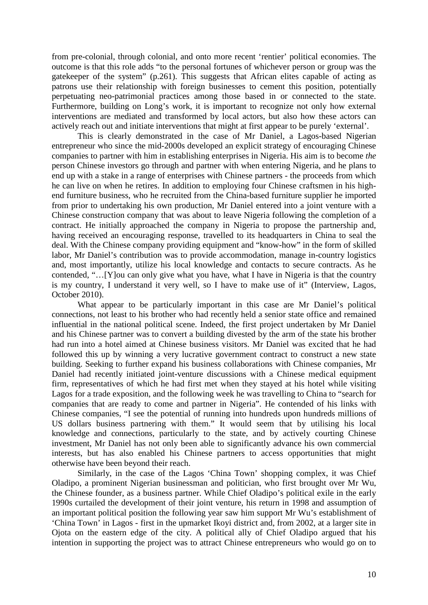from pre-colonial, through colonial, and onto more recent 'rentier' political economies. The outcome is that this role adds "to the personal fortunes of whichever person or group was the gatekeeper of the system" (p.261). This suggests that African elites capable of acting as patrons use their relationship with foreign businesses to cement this position, potentially perpetuating neo-patrimonial practices among those based in or connected to the state. Furthermore, building on Long's work, it is important to recognize not only how external interventions are mediated and transformed by local actors, but also how these actors can actively reach out and initiate interventions that might at first appear to be purely 'external'.

This is clearly demonstrated in the case of Mr Daniel, a Lagos-based Nigerian entrepreneur who since the mid-2000s developed an explicit strategy of encouraging Chinese companies to partner with him in establishing enterprises in Nigeria. His aim is to become *the* person Chinese investors go through and partner with when entering Nigeria, and he plans to end up with a stake in a range of enterprises with Chinese partners - the proceeds from which he can live on when he retires. In addition to employing four Chinese craftsmen in his highend furniture business, who he recruited from the China-based furniture supplier he imported from prior to undertaking his own production, Mr Daniel entered into a joint venture with a Chinese construction company that was about to leave Nigeria following the completion of a contract. He initially approached the company in Nigeria to propose the partnership and, having received an encouraging response, travelled to its headquarters in China to seal the deal. With the Chinese company providing equipment and "know-how" in the form of skilled labor, Mr Daniel's contribution was to provide accommodation, manage in-country logistics and, most importantly, utilize his local knowledge and contacts to secure contracts. As he contended, "…[Y]ou can only give what you have, what I have in Nigeria is that the country is my country, I understand it very well, so I have to make use of it" (Interview, Lagos, October 2010).

What appear to be particularly important in this case are Mr Daniel's political connections, not least to his brother who had recently held a senior state office and remained influential in the national political scene. Indeed, the first project undertaken by Mr Daniel and his Chinese partner was to convert a building divested by the arm of the state his brother had run into a hotel aimed at Chinese business visitors. Mr Daniel was excited that he had followed this up by winning a very lucrative government contract to construct a new state building. Seeking to further expand his business collaborations with Chinese companies, Mr Daniel had recently initiated joint-venture discussions with a Chinese medical equipment firm, representatives of which he had first met when they stayed at his hotel while visiting Lagos for a trade exposition, and the following week he was travelling to China to "search for companies that are ready to come and partner in Nigeria". He contended of his links with Chinese companies, "I see the potential of running into hundreds upon hundreds millions of US dollars business partnering with them." It would seem that by utilising his local knowledge and connections, particularly to the state, and by actively courting Chinese investment, Mr Daniel has not only been able to significantly advance his own commercial interests, but has also enabled his Chinese partners to access opportunities that might otherwise have been beyond their reach.

Similarly, in the case of the Lagos 'China Town' shopping complex, it was Chief Oladipo, a prominent Nigerian businessman and politician, who first brought over Mr Wu, the Chinese founder, as a business partner. While Chief Oladipo's political exile in the early 1990s curtailed the development of their joint venture, his return in 1998 and assumption of an important political position the following year saw him support Mr Wu's establishment of 'China Town' in Lagos - first in the upmarket Ikoyi district and, from 2002, at a larger site in Ojota on the eastern edge of the city. A political ally of Chief Oladipo argued that his intention in supporting the project was to attract Chinese entrepreneurs who would go on to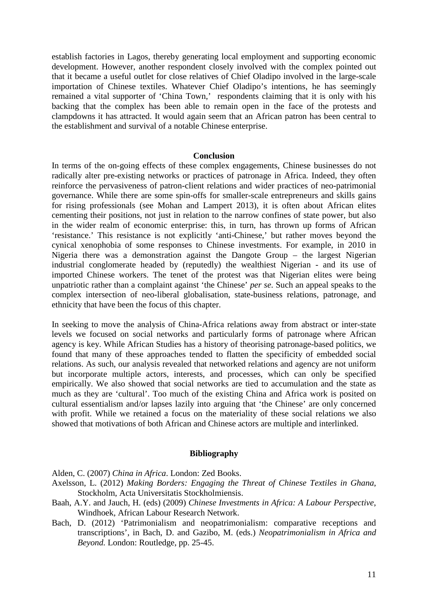establish factories in Lagos, thereby generating local employment and supporting economic development. However, another respondent closely involved with the complex pointed out that it became a useful outlet for close relatives of Chief Oladipo involved in the large-scale importation of Chinese textiles. Whatever Chief Oladipo's intentions, he has seemingly remained a vital supporter of 'China Town,' respondents claiming that it is only with his backing that the complex has been able to remain open in the face of the protests and clampdowns it has attracted. It would again seem that an African patron has been central to the establishment and survival of a notable Chinese enterprise.

#### **Conclusion**

In terms of the on-going effects of these complex engagements, Chinese businesses do not radically alter pre-existing networks or practices of patronage in Africa. Indeed, they often reinforce the pervasiveness of patron-client relations and wider practices of neo-patrimonial governance. While there are some spin-offs for smaller-scale entrepreneurs and skills gains for rising professionals (see Mohan and Lampert 2013), it is often about African elites cementing their positions, not just in relation to the narrow confines of state power, but also in the wider realm of economic enterprise: this, in turn, has thrown up forms of African 'resistance.' This resistance is not explicitly 'anti-Chinese,' but rather moves beyond the cynical xenophobia of some responses to Chinese investments. For example, in 2010 in Nigeria there was a demonstration against the Dangote Group – the largest Nigerian industrial conglomerate headed by (reputedly) the wealthiest Nigerian - and its use of imported Chinese workers. The tenet of the protest was that Nigerian elites were being unpatriotic rather than a complaint against 'the Chinese' *per se*. Such an appeal speaks to the complex intersection of neo-liberal globalisation, state-business relations, patronage, and ethnicity that have been the focus of this chapter.

In seeking to move the analysis of China-Africa relations away from abstract or inter-state levels we focused on social networks and particularly forms of patronage where African agency is key. While African Studies has a history of theorising patronage-based politics, we found that many of these approaches tended to flatten the specificity of embedded social relations. As such, our analysis revealed that networked relations and agency are not uniform but incorporate multiple actors, interests, and processes, which can only be specified empirically. We also showed that social networks are tied to accumulation and the state as much as they are 'cultural'. Too much of the existing China and Africa work is posited on cultural essentialism and/or lapses lazily into arguing that 'the Chinese' are only concerned with profit. While we retained a focus on the materiality of these social relations we also showed that motivations of both African and Chinese actors are multiple and interlinked.

#### **Bibliography**

Alden, C. (2007) *China in Africa*. London: Zed Books.

- Axelsson, L. (2012) *Making Borders: Engaging the Threat of Chinese Textiles in Ghana*, Stockholm, Acta Universitatis Stockholmiensis.
- Baah, A.Y. and Jauch, H. (eds) (2009) *Chinese Investments in Africa: A Labour Perspective*, Windhoek, African Labour Research Network.
- Bach, D. (2012) 'Patrimonialism and neopatrimonialism: comparative receptions and transcriptions', in Bach, D. and Gazibo, M. (eds.) *Neopatrimonialism in Africa and Beyond.* London: Routledge, pp. 25-45.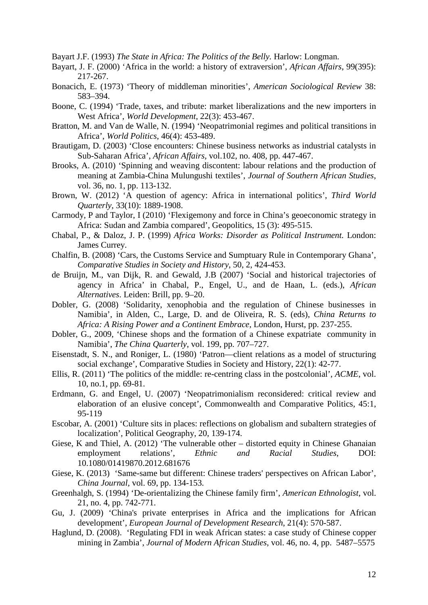Bayart J.F. (1993) *The State in Africa: The Politics of the Belly.* Harlow: Longman.

- Bayart, J. F. (2000) 'Africa in the world: a history of extraversion', *African Affairs*, 99(395): 217-267.
- Bonacich, E. (1973) 'Theory of middleman minorities', *American Sociological Review* 38: 583–394.
- Boone, C. (1994) 'Trade, taxes, and tribute: market liberalizations and the new importers in West Africa', *World Development*, 22(3): 453-467.
- Bratton, M. and Van de Walle, N. (1994) 'Neopatrimonial regimes and political transitions in Africa', *World Politics*, 46(4): 453-489.
- Brautigam, D. (2003) 'Close encounters: Chinese business networks as industrial catalysts in Sub-Saharan Africa', *African Affairs,* vol.102, no. 408, pp. 447-467.
- Brooks, A. (2010) 'Spinning and weaving discontent: labour relations and the production of meaning at Zambia-China Mulungushi textiles', *Journal of Southern African Studies*, vol. 36, no. 1, pp. 113-132.
- Brown, W. (2012) 'A question of agency: Africa in international politics', *Third World Quarterly*, 33(10): 1889-1908.
- Carmody, P and Taylor, I (2010) 'Flexigemony and force in China's geoeconomic strategy in Africa: Sudan and Zambia compared', Geopolitics, 15 (3): 495-515.
- Chabal, P., & Daloz, J. P. (1999) *Africa Works: Disorder as Political Instrument.* London: James Currey.
- Chalfin, B. (2008) 'Cars, the Customs Service and Sumptuary Rule in Contemporary Ghana', *Comparative Studies in Society and History*, 50, 2, 424-453.
- de Bruijn, M., van Dijk, R. and Gewald, J.B (2007) 'Social and historical trajectories of agency in Africa' in Chabal, P., Engel, U., and de Haan, L. (eds.), *African Alternatives*. Leiden: Brill, pp. 9–20.
- Dobler, G. (2008) 'Solidarity, xenophobia and the regulation of Chinese businesses in Namibia', in Alden, C., Large, D. and de Oliveira, R. S. (eds), *China Returns to Africa: A Rising Power and a Continent Embrace,* London, Hurst, pp. 237-255.
- Dobler, G., 2009, 'Chinese shops and the formation of a Chinese expatriate community in Namibia', *The China Quarterly*, vol. 199, pp. 707–727.
- Eisenstadt, S. N., and Roniger, L. (1980) 'Patron—client relations as a model of structuring social exchange', Comparative Studies in Society and History, 22(1): 42-77.
- Ellis, R. (2011) 'The politics of the middle: re-centring class in the postcolonial', *ACME*, vol. 10, no.1, pp. 69-81.
- Erdmann, G. and Engel, U. (2007) 'Neopatrimonialism reconsidered: critical review and elaboration of an elusive concept', Commonwealth and Comparative Politics, 45:1, 95-119
- Escobar, A. (2001) 'Culture sits in places: reflections on globalism and subaltern strategies of localization', Political Geography, 20, 139-174.
- Giese, K and Thiel, A. (2012) 'The vulnerable other distorted equity in Chinese Ghanaian employment relations', *Ethnic and Racial Studies*, DOI: 10.1080/01419870.2012.681676
- Giese, K. (2013) 'Same-same but different: Chinese traders' perspectives on African Labor', *China Journal*, vol. 69, pp. 134-153.
- Greenhalgh, S. (1994) 'De-orientalizing the Chinese family firm', *American Ethnologist*, vol. 21, no. 4, pp. 742-771.
- Gu, J. (2009) 'China's private enterprises in Africa and the implications for African development', *European Journal of Development Research*, 21(4): 570-587.
- Haglund, D. (2008). 'Regulating FDI in weak African states: a case study of Chinese copper mining in Zambia', *Journal of Modern African Studies*, vol. 46, no. 4, pp. 5487–5575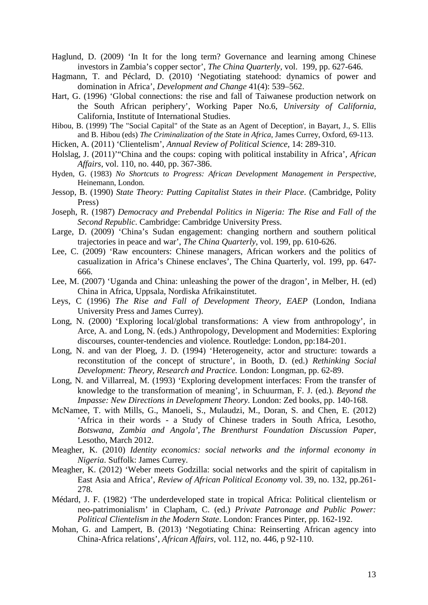Haglund, D. (2009) 'In It for the long term? Governance and learning among Chinese investors in Zambia's copper sector', *The China Quarterly,* vol. 199, pp. 627-646.

- Hagmann, T. and Péclard, D. (2010) 'Negotiating statehood: dynamics of power and domination in Africa', *Development and Change* 41(4): 539–562.
- Hart, G. (1996) 'Global connections: the rise and fall of Taiwanese production network on the South African periphery', Working Paper No.6, *University of California*, California, Institute of International Studies.
- Hibou, B. (1999) 'The "Social Capital" of the State as an Agent of Deception', in Bayart, J., S. Ellis and B. Hibou (eds) *The Criminalization of the State in Africa*, James Currey, Oxford, 69-113.
- Hicken, A. (2011) 'Clientelism', *Annual Review of Political Science*, 14: 289-310.
- Holslag, J. (2011)'"China and the coups: coping with political instability in Africa', *African Affairs*, vol. 110, no. 440, pp. 367-386.
- Hyden, G. (1983) *No Shortcuts to Progress: African Development Management in Perspective*, Heinemann, London.
- Jessop, B. (1990) *State Theory: Putting Capitalist States in their Place*. (Cambridge, Polity Press)
- Joseph, R. (1987) *Democracy and Prebendal Politics in Nigeria: The Rise and Fall of the Second Republic*. Cambridge: Cambridge University Press.
- Large, D. (2009) 'China's Sudan engagement: changing northern and southern political trajectories in peace and war', *The China Quarterly*, vol. 199, pp. 610-626.
- Lee, C. (2009) 'Raw encounters: Chinese managers, African workers and the politics of casualization in Africa's Chinese enclaves', The China Quarterly, vol. 199, pp. 647- 666.
- Lee, M. (2007) 'Uganda and China: unleashing the power of the dragon', in Melber, H. (ed) China in Africa, Uppsala, Nordiska Afrikainstitutet.
- Leys, C (1996) *The Rise and Fall of Development Theory, EAEP* (London, Indiana University Press and James Currey).
- Long, N. (2000) 'Exploring local/global transformations: A view from anthropology', in Arce, A. and Long, N. (eds.) Anthropology, Development and Modernities: Exploring discourses, counter-tendencies and violence. Routledge: London, pp:184-201.
- Long, N. and van der Ploeg, J. D. (1994) 'Heterogeneity, actor and structure: towards a reconstitution of the concept of structure', in Booth, D. (ed.) *Rethinking Social Development: Theory, Research and Practice.* London: Longman, pp. 62-89.
- Long, N. and Villarreal, M. (1993) 'Exploring development interfaces: From the transfer of knowledge to the transformation of meaning', in Schuurman, F. J. (ed.). *Beyond the Impasse: New Directions in Development Theory*. London: Zed books, pp. 140-168.
- McNamee, T. with Mills, G., Manoeli, S., Mulaudzi, M., Doran, S. and Chen, E. (2012) 'Africa in their words - a Study of Chinese traders in South Africa, Lesotho, *Botswana, Zambia and Angola', The Brenthurst Foundation Discussion Paper*, Lesotho, March 2012.
- Meagher, K. (2010) *Identity economics: social networks and the informal economy in Nigeria*. Suffolk: James Currey.
- Meagher, K. (2012) 'Weber meets Godzilla: social networks and the spirit of capitalism in East Asia and Africa', *Review of African Political Economy* vol. 39, no. 132, pp.261- 278.
- Médard, J. F. (1982) 'The underdeveloped state in tropical Africa: Political clientelism or neo-patrimonialism' in Clapham, C. (ed.) *Private Patronage and Public Power: Political Clientelism in the Modern State*. London: Frances Pinter, pp. 162-192.
- Mohan, G. and Lampert, B. (2013) ['Negotiating China: Reinserting African agency into](http://oro.open.ac.uk/34522/)  [China-Africa relations'](http://oro.open.ac.uk/34522/), *African Affairs,* vol. 112, no. 446, p 92-110.